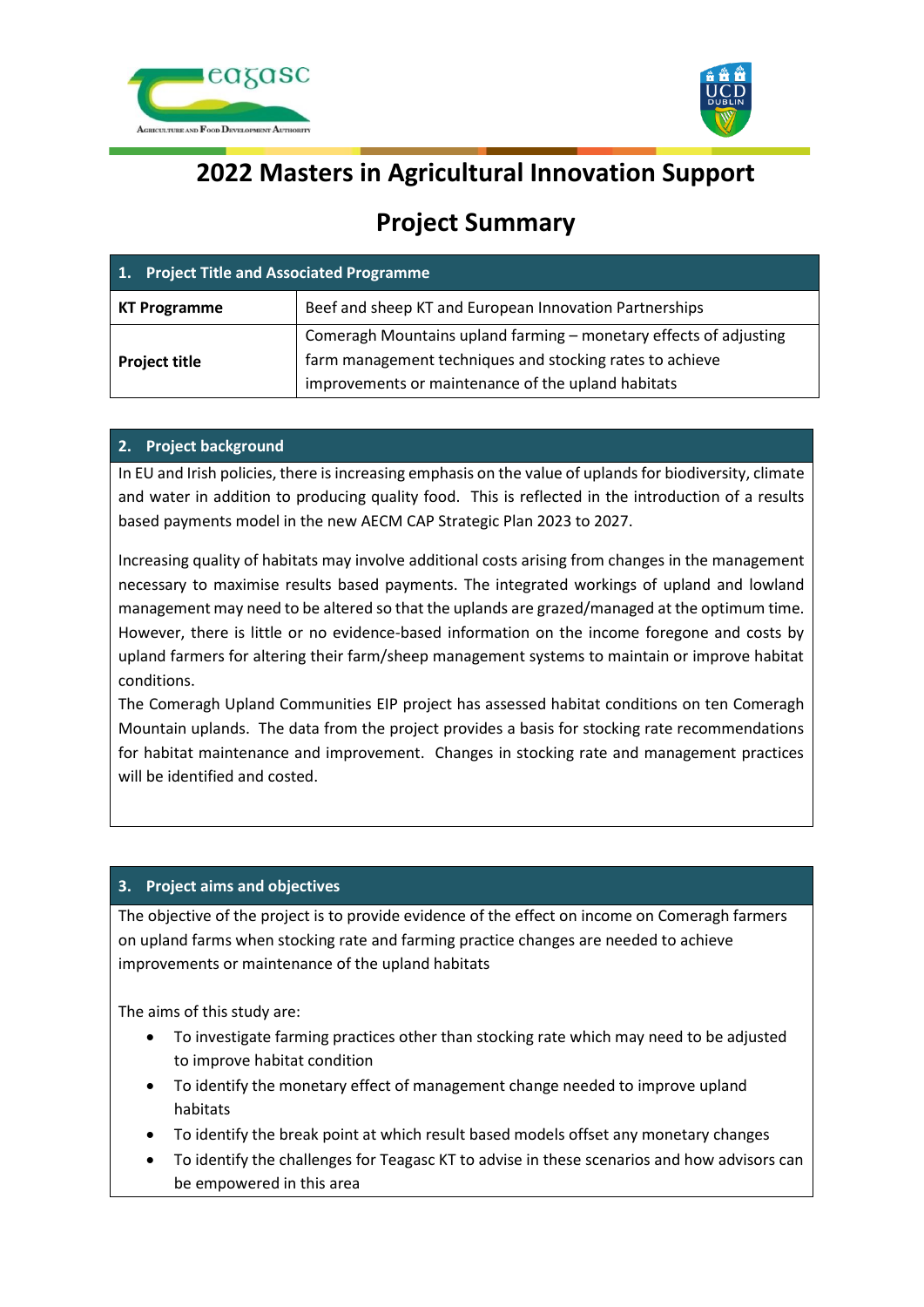



# **2022 Masters in Agricultural Innovation Support**

# **Project Summary**

| 1. Project Title and Associated Programme |                                                                                                                |
|-------------------------------------------|----------------------------------------------------------------------------------------------------------------|
| <b>KT Programme</b>                       | Beef and sheep KT and European Innovation Partnerships                                                         |
| <b>Project title</b>                      | Comeragh Mountains upland farming – monetary effects of adjusting                                              |
|                                           | farm management techniques and stocking rates to achieve<br>improvements or maintenance of the upland habitats |

### **2. Project background**

In EU and Irish policies, there is increasing emphasis on the value of uplands for biodiversity, climate and water in addition to producing quality food. This is reflected in the introduction of a results based payments model in the new AECM CAP Strategic Plan 2023 to 2027.

Increasing quality of habitats may involve additional costs arising from changes in the management necessary to maximise results based payments. The integrated workings of upland and lowland management may need to be altered so that the uplands are grazed/managed at the optimum time. However, there is little or no evidence-based information on the income foregone and costs by upland farmers for altering their farm/sheep management systems to maintain or improve habitat conditions.

The Comeragh Upland Communities EIP project has assessed habitat conditions on ten Comeragh Mountain uplands. The data from the project provides a basis for stocking rate recommendations for habitat maintenance and improvement. Changes in stocking rate and management practices will be identified and costed.

## **3. Project aims and objectives**

The objective of the project is to provide evidence of the effect on income on Comeragh farmers on upland farms when stocking rate and farming practice changes are needed to achieve improvements or maintenance of the upland habitats

The aims of this study are:

- To investigate farming practices other than stocking rate which may need to be adjusted to improve habitat condition
- To identify the monetary effect of management change needed to improve upland habitats
- To identify the break point at which result based models offset any monetary changes
- To identify the challenges for Teagasc KT to advise in these scenarios and how advisors can be empowered in this area